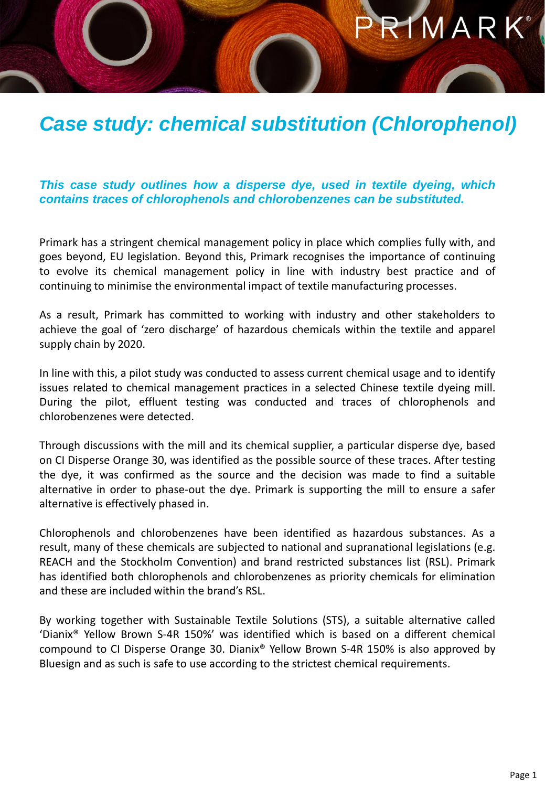## RIMARK®

## *Case study: chemical substitution (Chlorophenol)*

## *This case study outlines how a disperse dye, used in textile dyeing, which contains traces of chlorophenols and chlorobenzenes can be substituted.*

Primark has a stringent chemical management policy in place which complies fully with, and goes beyond, EU legislation. Beyond this, Primark recognises the importance of continuing to evolve its chemical management policy in line with industry best practice and of continuing to minimise the environmental impact of textile manufacturing processes.

As a result, Primark has committed to working with industry and other stakeholders to achieve the goal of 'zero discharge' of hazardous chemicals within the textile and apparel supply chain by 2020.

In line with this, a pilot study was conducted to assess current chemical usage and to identify issues related to chemical management practices in a selected Chinese textile dyeing mill. During the pilot, effluent testing was conducted and traces of chlorophenols and chlorobenzenes were detected.

Through discussions with the mill and its chemical supplier, a particular disperse dye, based on CI Disperse Orange 30, was identified as the possible source of these traces. After testing the dye, it was confirmed as the source and the decision was made to find a suitable alternative in order to phase-out the dye. Primark is supporting the mill to ensure a safer alternative is effectively phased in.

Chlorophenols and chlorobenzenes have been identified as hazardous substances. As a result, many of these chemicals are subjected to national and supranational legislations (e.g. REACH and the Stockholm Convention) and brand restricted substances list (RSL). Primark has identified both chlorophenols and chlorobenzenes as priority chemicals for elimination and these are included within the brand's RSL.

By working together with Sustainable Textile Solutions (STS), a suitable alternative called 'Dianix® Yellow Brown S-4R 150%' was identified which is based on a different chemical compound to CI Disperse Orange 30. Dianix® Yellow Brown S-4R 150% is also approved by Bluesign and as such is safe to use according to the strictest chemical requirements.